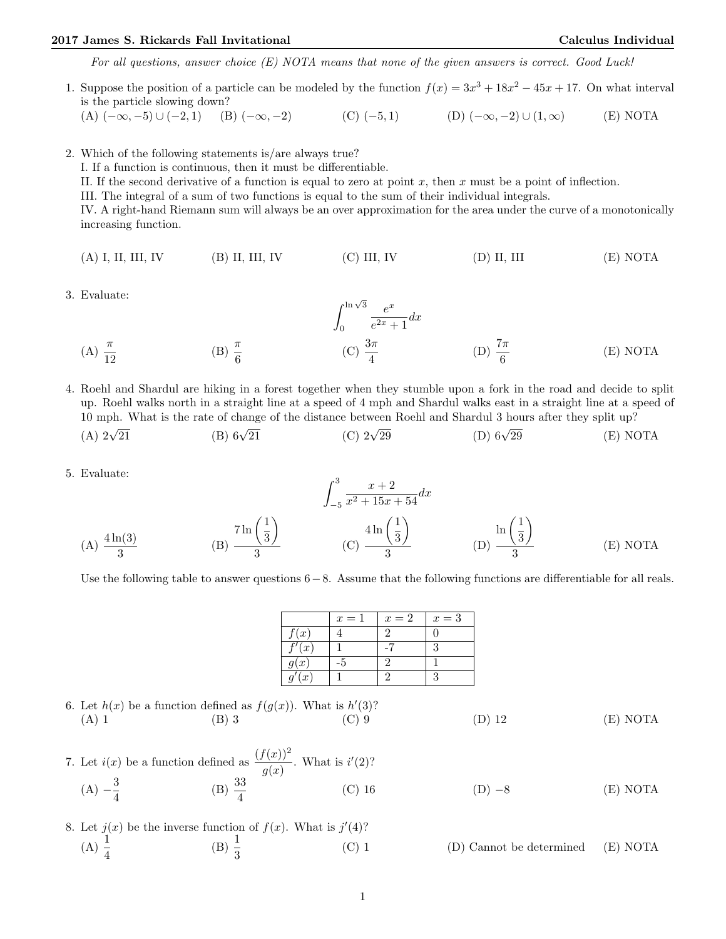## 2017 James S. Rickards Fall Invitational Calculus Individual

For all questions, answer choice (E) NOTA means that none of the given answers is correct. Good Luck!

1. Suppose the position of a particle can be modeled by the function  $f(x) = 3x^3 + 18x^2 - 45x + 17$ . On what interval is the particle slowing down?

(A)  $(-\infty, -5) \cup (-2, 1)$  (B)  $(-\infty, -2)$  (C)  $(-5, 1)$  (D)  $(-\infty, -2) \cup (1, \infty)$  (E) NOTA

2. Which of the following statements is/are always true?

I. If a function is continuous, then it must be differentiable.

II. If the second derivative of a function is equal to zero at point  $x$ , then  $x$  must be a point of inflection.

III. The integral of a sum of two functions is equal to the sum of their individual integrals.

IV. A right-hand Riemann sum will always be an over approximation for the area under the curve of a monotonically increasing function.

- (A) I, II, III, IV (B) II, III, IV (C) III, IV (D) II, III (E) NOTA
- 3. Evaluate:

Evaluate:  
\n(A) 
$$
\frac{\pi}{12}
$$
 \t\t (B)  $\frac{\pi}{6}$  \t\t (C)  $\frac{3\pi}{4}$  \t\t (D)  $\frac{7\pi}{6}$  \t\t (E) NOTA

4. Roehl and Shardul are hiking in a forest together when they stumble upon a fork in the road and decide to split up. Roehl walks north in a straight line at a speed of 4 mph and Shardul walks east in a straight line at a speed of 10 mph. What is the rate of change of the distance between Roehl and Shardul 3 hours after they split up?

- $(A)$   $2\sqrt{21}$ (B)  $6\sqrt{21}$ (C)  $2\sqrt{29}$ (D)  $6\sqrt{29}$  $(E) NOTA$
- 5. Evaluate:

$$
\int_{-5}^{3} \frac{x+2}{x^2+15x+54} dx
$$
\n(A)  $\frac{4\ln(3)}{3}$ \n(B)  $\frac{7\ln(\frac{1}{3})}{3}$ \n(C)  $\frac{4\ln(\frac{1}{3})}{3}$ \n(D)  $\frac{\ln(\frac{1}{3})}{3}$ \n(E) NOTA

Use the following table to answer questions 6−8. Assume that the following functions are differentiable for all reals.

|                       | $x=1$ | $x=2$ | $x=3$ |
|-----------------------|-------|-------|-------|
| f(x)                  |       |       |       |
| $\sqrt{\frac{f'}{x}}$ |       |       | 3     |
| g(x)                  |       |       |       |
| q'(x)                 |       |       | 3     |
|                       |       |       |       |

6. Let  $h(x)$  be a function defined as  $f(g(x))$ . What is  $h'(3)$ ? (A) 1 (B) 3 (C) 9 (D) 12 (E) NOTA

- 7. Let  $i(x)$  be a function defined as  $\frac{(f(x))^2}{g(x)}$ . What is  $i'(2)$ ?  $(A) - \frac{3}{4}$  $\frac{3}{4}$  (B)  $\frac{33}{4}$  $(D) -8$  (E) NOTA
- 8. Let  $j(x)$  be the inverse function of  $f(x)$ . What is  $j'(4)$ ?  $(A) \frac{1}{4}$ (B)  $\frac{1}{3}$ (C) 1 (D) Cannot be determined (E) NOTA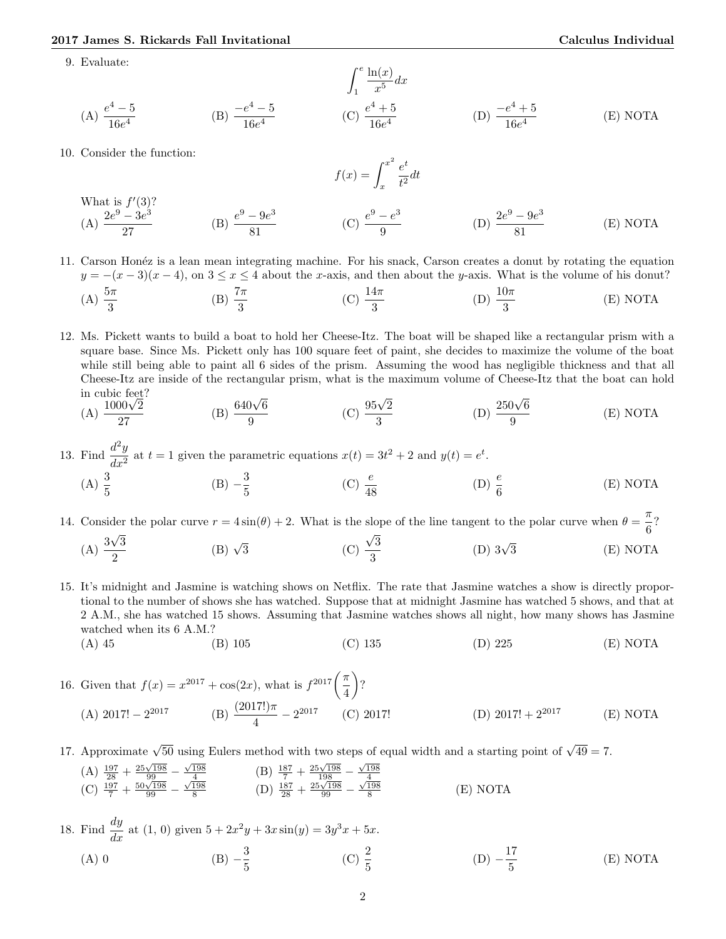9. Evaluate:

(A) 
$$
\frac{e^4 - 5}{16e^4}
$$
 \t(B)  $\frac{-e^4 - 5}{16e^4}$  \t(C)  $\frac{e^4 + 5}{16e^4}$  \t(D)  $\frac{-e^4 + 5}{16e^4}$  \t(E) NOTA

10. Consider the function:

$$
f(x) = \int_{x}^{x^2} \frac{e^t}{t^2} dt
$$

What is 
$$
f'(3)
$$
?  
\n(A)  $\frac{2e^9 - 3e^3}{27}$  (B)  $\frac{e^9 - 9e^3}{81}$  (C)  $\frac{e^9 - e^3}{9}$  (D)  $\frac{2e^9 - 9e^3}{81}$  (E) NOTA

11. Carson Hon´ez is a lean mean integrating machine. For his snack, Carson creates a donut by rotating the equation  $y = -(x-3)(x-4)$ , on  $3 \le x \le 4$  about the x-axis, and then about the y-axis. What is the volume of his donut?

(A) 
$$
\frac{5\pi}{3}
$$
 \t\t (B)  $\frac{7\pi}{3}$  \t\t (C)  $\frac{14\pi}{3}$  \t\t (D)  $\frac{10\pi}{3}$  \t\t (E) NOTA

12. Ms. Pickett wants to build a boat to hold her Cheese-Itz. The boat will be shaped like a rectangular prism with a square base. Since Ms. Pickett only has 100 square feet of paint, she decides to maximize the volume of the boat while still being able to paint all 6 sides of the prism. Assuming the wood has negligible thickness and that all Cheese-Itz are inside of the rectangular prism, what is the maximum volume of Cheese-Itz that the boat can hold

in cubic feet?  
\n(A) 
$$
\frac{1000\sqrt{2}}{27}
$$
 (B)  $\frac{640\sqrt{6}}{9}$  (C)  $\frac{95\sqrt{2}}{3}$  (D)  $\frac{250\sqrt{6}}{9}$  (E) NOTA

13. Find  $\frac{d^2y}{dx^2}$  $\frac{d^2y}{dx^2}$  at  $t = 1$  given the parametric equations  $x(t) = 3t^2 + 2$  and  $y(t) = e^t$ . (A)  $\frac{3}{5}$  $(B) -\frac{3}{5}$ 5 (C)  $\frac{e}{48}$ (D)  $\frac{e}{6}$ (E) NOTA

14. Consider the polar curve  $r = 4 \sin(\theta) + 2$ . What is the slope of the line tangent to the polar curve when  $\theta = \frac{\pi}{6}$  $\frac{1}{6}$ ?  $(A) \frac{3\sqrt{3}}{2}$ √ √ 2 (B)  $\sqrt{3}$  $\frac{\sqrt{3}}{3}$  (C)  $\frac{\sqrt{3}}{2}$ 3 (D)  $3\sqrt{3}$ 3 (E) NOTA

- 15. It's midnight and Jasmine is watching shows on Netflix. The rate that Jasmine watches a show is directly proportional to the number of shows she has watched. Suppose that at midnight Jasmine has watched 5 shows, and that at 2 A.M., she has watched 15 shows. Assuming that Jasmine watches shows all night, how many shows has Jasmine watched when its 6 A.M.?
	- (A) 45 (B) 105 (C) 135 (D) 225 (E) NOTA
- 16. Given that  $f(x) = x^{2017} + \cos(2x)$ , what is  $f^{2017} \left( \frac{\pi}{4} \right)$ 4  $\Big)$ ? (A) 2017!  $-2^{2017}$  (B)  $\frac{(2017!)\pi}{4} - 2^{2017}$  (C) 2017! (D) 2017! + 2<sup>2017</sup> (E) NOTA
- 17. Approximate  $\sqrt{50}$  using Eulers method with two steps of equal width and a starting point of  $\sqrt{49} = 7$ .
	- (A)  $\frac{197}{28} + \frac{25\sqrt{198}}{99} \frac{\sqrt{198}}{4}$ <br>
	(C)  $\frac{197}{7} + \frac{50\sqrt{198}}{99} \frac{\sqrt{198}}{8}$ <br>
	(D)  $\frac{187}{28} + \frac{25\sqrt{198}}{99} \frac{\sqrt{198}}{8}$ (E) NOTA
- 18. Find  $\frac{dy}{dx}$  at (1, 0) given  $5 + 2x^2y + 3x\sin(y) = 3y^3x + 5x$ . (A) 0 (B)  $-\frac{3}{5}$ 5 (C)  $\frac{2}{5}$  $(D) -\frac{17}{5}$ 5 (E) NOTA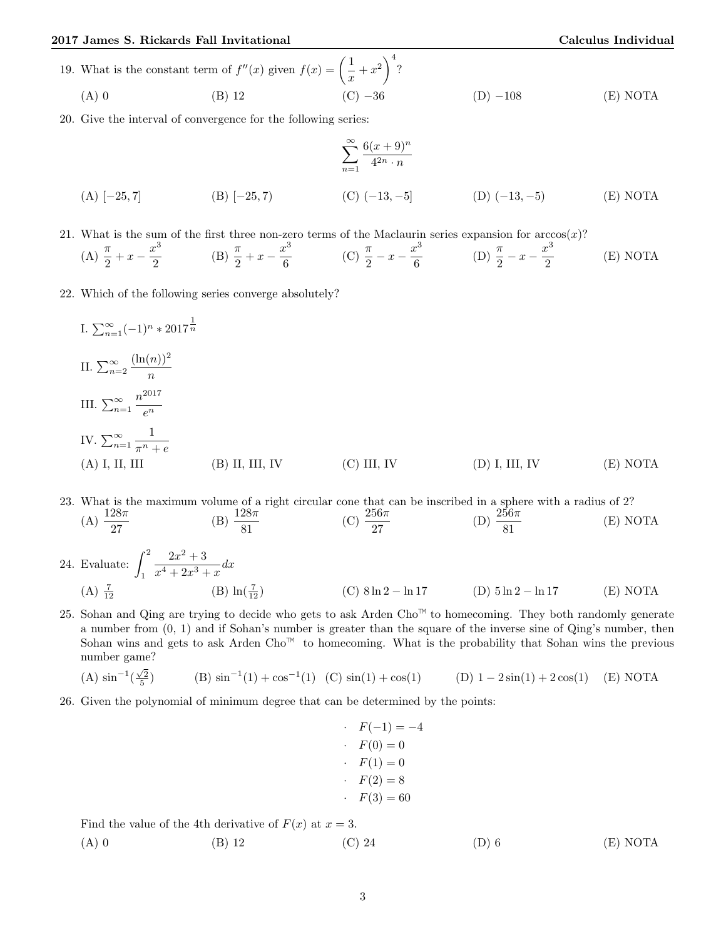## 2017 James S. Rickards Fall Invitational Calculus Individual

(A) 0 (B) 12 (C) −36 (D) −108 (E) NOTA

20. Give the interval of convergence for the following series:

(A) 
$$
[-25, 7]
$$
  
\n(B)  $[-25, 7]$   
\n(C)  $(-13, -5]$   
\n(D)  $(-13, -5)$   
\n(E) NOTA

21. What is the sum of the first three non-zero terms of the Maclaurin series expansion for  $arccos(x)$ ?

(A) 
$$
\frac{\pi}{2} + x - \frac{x^3}{2}
$$
 (B)  $\frac{\pi}{2} + x - \frac{x^3}{6}$  (C)  $\frac{\pi}{2} - x - \frac{x^3}{6}$  (D)  $\frac{\pi}{2} - x - \frac{x^3}{2}$  (E) NOTA

22. Which of the following series converge absolutely?

I. 
$$
\sum_{n=1}^{\infty} (-1)^n * 2017^{\frac{1}{n}}
$$
  
\nII.  $\sum_{n=2}^{\infty} \frac{(\ln(n))^2}{n}$   
\nIII.  $\sum_{n=1}^{\infty} \frac{n^{2017}}{e^n}$   
\nIV.  $\sum_{n=1}^{\infty} \frac{1}{\pi^n + e}$   
\n(A) I, II, III (B) II, III, IV (C) III, IV (D) I, III, IV (E) NOTA

23. What is the maximum volume of a right circular cone that can be inscribed in a sphere with a radius of 2? (A)  $\frac{128\pi}{27}$ (B)  $\frac{128\pi}{81}$ (C)  $\frac{256\pi}{27}$ (D)  $\frac{256\pi}{81}$ (E) NOTA

- 24. Evaluate:  $\int_0^2$ 1  $2x^2 + 3$  $\frac{2x+9}{x^4+2x^3+x}dx$  $(A) \frac{7}{12}$ (B)  $\ln(\frac{7}{12})$ (C)  $8 \ln 2 - \ln 17$  (D)  $5 \ln 2 - \ln 17$  (E) NOTA
- 25. Sohan and Qing are trying to decide who gets to ask Arden Cho™ to homecoming. They both randomly generate a number from (0, 1) and if Sohan's number is greater than the square of the inverse sine of Qing's number, then Sohan wins and gets to ask Arden  $Cho^{\mathbb{N}}$  to homecoming. What is the probability that Sohan wins the previous number game?

(A) 
$$
\sin^{-1}(\frac{\sqrt{2}}{5})
$$
 (B)  $\sin^{-1}(1) + \cos^{-1}(1)$  (C)  $\sin(1) + \cos(1)$  (D)  $1 - 2\sin(1) + 2\cos(1)$  (E) NOTA

26. Given the polynomial of minimum degree that can be determined by the points:

$$
F(-1) = -4
$$
  
\n
$$
F(0) = 0
$$
  
\n
$$
F(1) = 0
$$
  
\n
$$
F(2) = 8
$$
  
\n
$$
F(3) = 60
$$

Find the value of the 4th derivative of  $F(x)$  at  $x = 3$ .

(A) 0 (B) 12 (C) 24 (D) 6 (E) NOTA